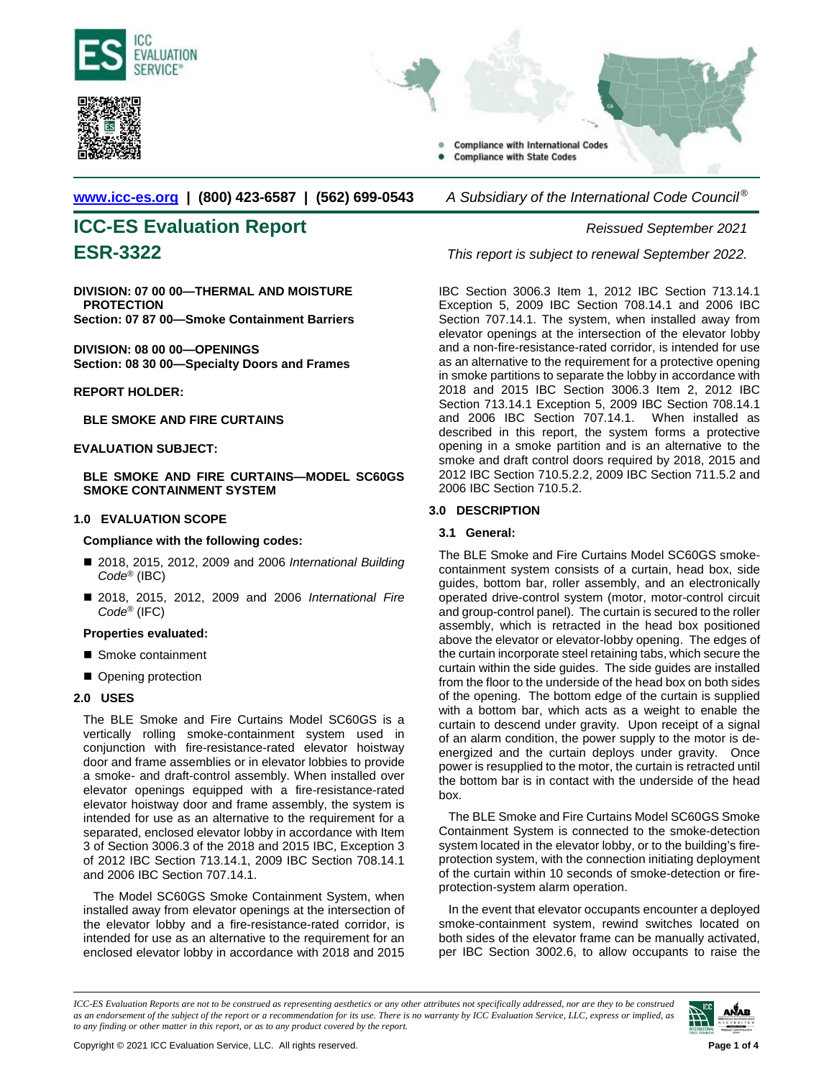



**Compliance with International Codes Compliance with State Codes** 

**[www.icc-es.org](http://www.icc-es.org/) | (800) 423-6587 | (562) 699-0543** *A Subsidiary of the International Code Council ®* 

# **ICC-ES Evaluation Report** *Reissued September 2021*

**DIVISION: 07 00 00—THERMAL AND MOISTURE PROTECTION Section: 07 87 00—Smoke Containment Barriers**

**DIVISION: 08 00 00—OPENINGS Section: 08 30 00—Specialty Doors and Frames**

**REPORT HOLDER:**

**BLE SMOKE AND FIRE CURTAINS**

#### **EVALUATION SUBJECT:**

**BLE SMOKE AND FIRE CURTAINS—MODEL SC60GS SMOKE CONTAINMENT SYSTEM**

#### **1.0 EVALUATION SCOPE**

#### **Compliance with the following codes:**

- 2018, 2015, 2012, 2009 and 2006 *International Building Code*® (IBC)
- 2018, 2015, 2012, 2009 and 2006 *International Fire Code*® (IFC)

#### **Properties evaluated:**

- Smoke containment
- Opening protection

#### **2.0 USES**

The BLE Smoke and Fire Curtains Model SC60GS is a vertically rolling smoke-containment system used in conjunction with fire-resistance-rated elevator hoistway door and frame assemblies or in elevator lobbies to provide a smoke- and draft-control assembly. When installed over elevator openings equipped with a fire-resistance-rated elevator hoistway door and frame assembly, the system is intended for use as an alternative to the requirement for a separated, enclosed elevator lobby in accordance with Item 3 of Section 3006.3 of the 2018 and 2015 IBC, Exception 3 of 2012 IBC Section 713.14.1, 2009 IBC Section 708.14.1 and 2006 IBC Section 707.14.1.

The Model SC60GS Smoke Containment System, when installed away from elevator openings at the intersection of the elevator lobby and a fire-resistance-rated corridor, is intended for use as an alternative to the requirement for an enclosed elevator lobby in accordance with 2018 and 2015

**ESR-3322** *This report is subject to renewal September 2022.*

IBC Section 3006.3 Item 1, 2012 IBC Section 713.14.1 Exception 5, 2009 IBC Section 708.14.1 and 2006 IBC Section 707.14.1. The system, when installed away from elevator openings at the intersection of the elevator lobby and a non-fire-resistance-rated corridor, is intended for use as an alternative to the requirement for a protective opening in smoke partitions to separate the lobby in accordance with 2018 and 2015 IBC Section 3006.3 Item 2, 2012 IBC Section 713.14.1 Exception 5, 2009 IBC Section 708.14.1 and 2006 IBC Section 707.14.1. When installed as described in this report, the system forms a protective opening in a smoke partition and is an alternative to the smoke and draft control doors required by 2018, 2015 and 2012 IBC Section 710.5.2.2, 2009 IBC Section 711.5.2 and 2006 IBC Section 710.5.2.

#### **3.0 DESCRIPTION**

#### **3.1 General:**

The BLE Smoke and Fire Curtains Model SC60GS smokecontainment system consists of a curtain, head box, side guides, bottom bar, roller assembly, and an electronically operated drive-control system (motor, motor-control circuit and group-control panel). The curtain is secured to the roller assembly, which is retracted in the head box positioned above the elevator or elevator-lobby opening. The edges of the curtain incorporate steel retaining tabs, which secure the curtain within the side guides. The side guides are installed from the floor to the underside of the head box on both sides of the opening. The bottom edge of the curtain is supplied with a bottom bar, which acts as a weight to enable the curtain to descend under gravity. Upon receipt of a signal of an alarm condition, the power supply to the motor is deenergized and the curtain deploys under gravity. Once power is resupplied to the motor, the curtain is retracted until the bottom bar is in contact with the underside of the head box.

The BLE Smoke and Fire Curtains Model SC60GS Smoke Containment System is connected to the smoke-detection system located in the elevator lobby, or to the building's fireprotection system, with the connection initiating deployment of the curtain within 10 seconds of smoke-detection or fireprotection-system alarm operation.

In the event that elevator occupants encounter a deployed smoke-containment system, rewind switches located on both sides of the elevator frame can be manually activated, per IBC Section 3002.6, to allow occupants to raise the

*ICC-ES Evaluation Reports are not to be construed as representing aesthetics or any other attributes not specifically addressed, nor are they to be construed as an endorsement of the subject of the report or a recommendation for its use. There is no warranty by ICC Evaluation Service, LLC, express or implied, as to any finding or other matter in this report, or as to any product covered by the report.*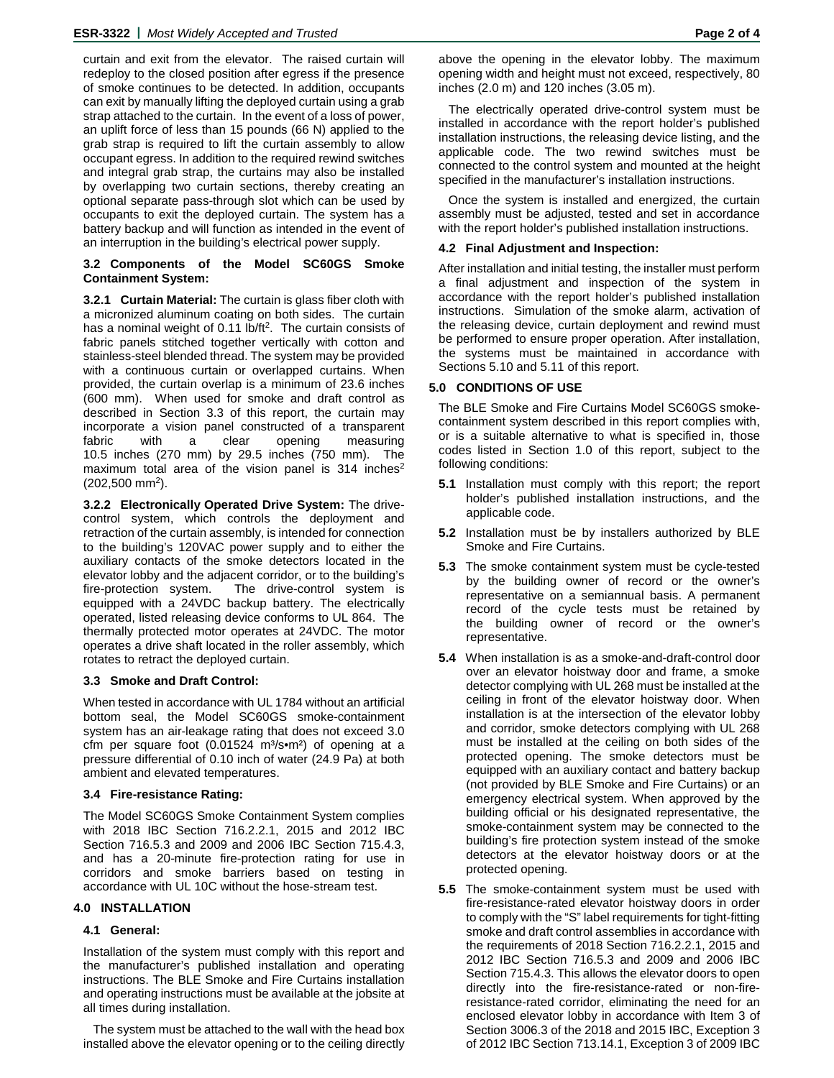curtain and exit from the elevator. The raised curtain will redeploy to the closed position after egress if the presence of smoke continues to be detected. In addition, occupants can exit by manually lifting the deployed curtain using a grab strap attached to the curtain. In the event of a loss of power, an uplift force of less than 15 pounds (66 N) applied to the grab strap is required to lift the curtain assembly to allow occupant egress. In addition to the required rewind switches and integral grab strap, the curtains may also be installed by overlapping two curtain sections, thereby creating an optional separate pass-through slot which can be used by occupants to exit the deployed curtain. The system has a battery backup and will function as intended in the event of an interruption in the building's electrical power supply.

#### **3.2 Components of the Model SC60GS Smoke Containment System:**

**3.2.1 Curtain Material:** The curtain is glass fiber cloth with a micronized aluminum coating on both sides. The curtain has a nominal weight of 0.11 lb/ft<sup>2</sup>. The curtain consists of fabric panels stitched together vertically with cotton and stainless-steel blended thread. The system may be provided with a continuous curtain or overlapped curtains. When provided, the curtain overlap is a minimum of 23.6 inches (600 mm). When used for smoke and draft control as described in Section 3.3 of this report, the curtain may incorporate a vision panel constructed of a transparent fabric with a clear opening measuring 10.5 inches (270 mm) by 29.5 inches (750 mm). The maximum total area of the vision panel is  $314$  inches<sup>2</sup>  $(202,500 \text{ mm}^2)$ .

**3.2.2 Electronically Operated Drive System:** The drivecontrol system, which controls the deployment and retraction of the curtain assembly, is intended for connection to the building's 120VAC power supply and to either the auxiliary contacts of the smoke detectors located in the elevator lobby and the adjacent corridor, or to the building's fire-protection system. The drive-control system is equipped with a 24VDC backup battery. The electrically operated, listed releasing device conforms to UL 864. The thermally protected motor operates at 24VDC. The motor operates a drive shaft located in the roller assembly, which rotates to retract the deployed curtain.

#### **3.3 Smoke and Draft Control:**

When tested in accordance with UL 1784 without an artificial bottom seal, the Model SC60GS smoke-containment system has an air-leakage rating that does not exceed 3.0 cfm per square foot  $(0.01524 \, \text{m}^3/\text{s} \cdot \text{m}^2)$  of opening at a pressure differential of 0.10 inch of water (24.9 Pa) at both ambient and elevated temperatures.

#### **3.4 Fire-resistance Rating:**

The Model SC60GS Smoke Containment System complies with 2018 IBC Section 716.2.2.1, 2015 and 2012 IBC Section 716.5.3 and 2009 and 2006 IBC Section 715.4.3, and has a 20-minute fire-protection rating for use in corridors and smoke barriers based on testing in accordance with UL 10C without the hose-stream test.

### **4.0 INSTALLATION**

### **4.1 General:**

Installation of the system must comply with this report and the manufacturer's published installation and operating instructions. The BLE Smoke and Fire Curtains installation and operating instructions must be available at the jobsite at all times during installation.

The system must be attached to the wall with the head box installed above the elevator opening or to the ceiling directly

The electrically operated drive-control system must be installed in accordance with the report holder's published installation instructions, the releasing device listing, and the applicable code. The two rewind switches must be connected to the control system and mounted at the height specified in the manufacturer's installation instructions.

Once the system is installed and energized, the curtain assembly must be adjusted, tested and set in accordance with the report holder's published installation instructions.

#### **4.2 Final Adjustment and Inspection:**

After installation and initial testing, the installer must perform a final adjustment and inspection of the system in accordance with the report holder's published installation instructions. Simulation of the smoke alarm, activation of the releasing device, curtain deployment and rewind must be performed to ensure proper operation. After installation, the systems must be maintained in accordance with Sections 5.10 and 5.11 of this report.

#### **5.0 CONDITIONS OF USE**

The BLE Smoke and Fire Curtains Model SC60GS smokecontainment system described in this report complies with, or is a suitable alternative to what is specified in, those codes listed in Section 1.0 of this report, subject to the following conditions:

- **5.1** Installation must comply with this report; the report holder's published installation instructions, and the applicable code.
- **5.2** Installation must be by installers authorized by BLE Smoke and Fire Curtains.
- **5.3** The smoke containment system must be cycle-tested by the building owner of record or the owner's representative on a semiannual basis. A permanent record of the cycle tests must be retained by the building owner of record or the owner's representative.
- **5.4** When installation is as a smoke-and-draft-control door over an elevator hoistway door and frame, a smoke detector complying with UL 268 must be installed at the ceiling in front of the elevator hoistway door. When installation is at the intersection of the elevator lobby and corridor, smoke detectors complying with UL 268 must be installed at the ceiling on both sides of the protected opening. The smoke detectors must be equipped with an auxiliary contact and battery backup (not provided by BLE Smoke and Fire Curtains) or an emergency electrical system. When approved by the building official or his designated representative, the smoke-containment system may be connected to the building's fire protection system instead of the smoke detectors at the elevator hoistway doors or at the protected opening.
- **5.5** The smoke-containment system must be used with fire-resistance-rated elevator hoistway doors in order to comply with the "S" label requirements for tight-fitting smoke and draft control assemblies in accordance with the requirements of 2018 Section 716.2.2.1, 2015 and 2012 IBC Section 716.5.3 and 2009 and 2006 IBC Section 715.4.3. This allows the elevator doors to open directly into the fire-resistance-rated or non-fireresistance-rated corridor, eliminating the need for an enclosed elevator lobby in accordance with Item 3 of Section 3006.3 of the 2018 and 2015 IBC, Exception 3 of 2012 IBC Section 713.14.1, Exception 3 of 2009 IBC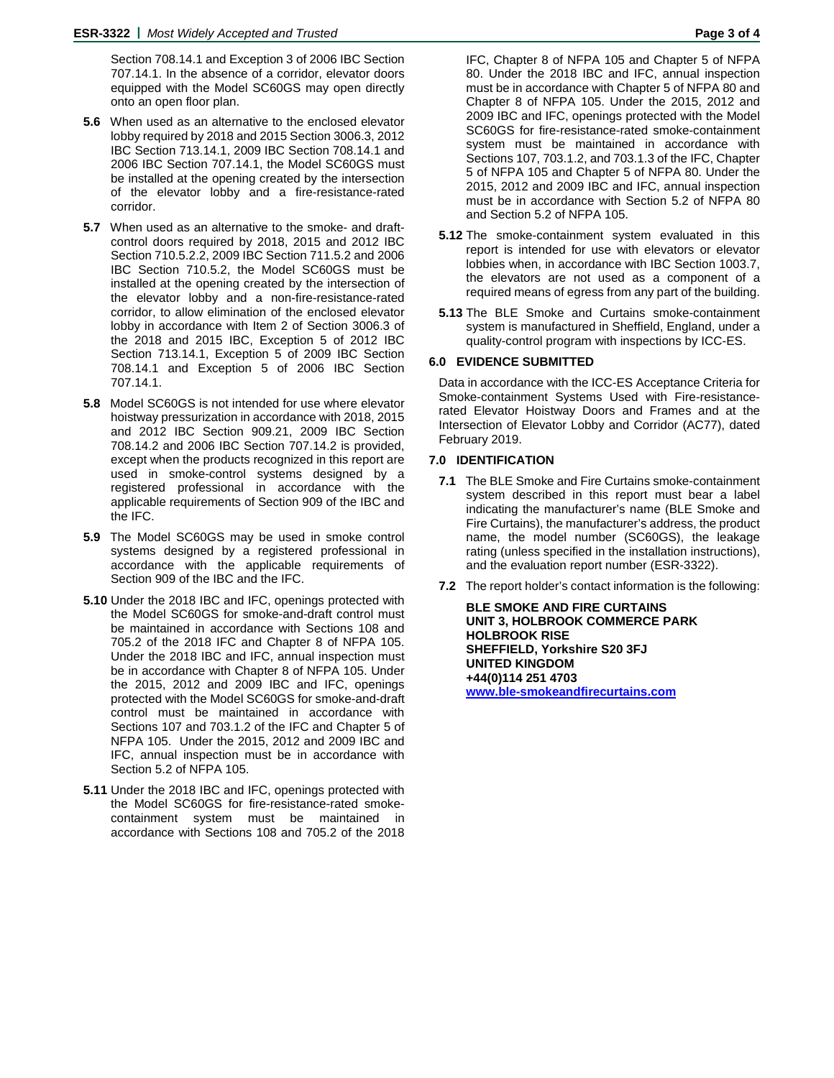Section 708.14.1 and Exception 3 of 2006 IBC Section 707.14.1. In the absence of a corridor, elevator doors equipped with the Model SC60GS may open directly onto an open floor plan.

- **5.6** When used as an alternative to the enclosed elevator lobby required by 2018 and 2015 Section 3006.3, 2012 IBC Section 713.14.1, 2009 IBC Section 708.14.1 and 2006 IBC Section 707.14.1, the Model SC60GS must be installed at the opening created by the intersection of the elevator lobby and a fire-resistance-rated corridor.
- **5.7** When used as an alternative to the smoke- and draftcontrol doors required by 2018, 2015 and 2012 IBC Section 710.5.2.2, 2009 IBC Section 711.5.2 and 2006 IBC Section 710.5.2, the Model SC60GS must be installed at the opening created by the intersection of the elevator lobby and a non-fire-resistance-rated corridor, to allow elimination of the enclosed elevator lobby in accordance with Item 2 of Section 3006.3 of the 2018 and 2015 IBC, Exception 5 of 2012 IBC Section 713.14.1, Exception 5 of 2009 IBC Section 708.14.1 and Exception 5 of 2006 IBC Section 707.14.1.
- **5.8** Model SC60GS is not intended for use where elevator hoistway pressurization in accordance with 2018, 2015 and 2012 IBC Section 909.21, 2009 IBC Section 708.14.2 and 2006 IBC Section 707.14.2 is provided, except when the products recognized in this report are used in smoke-control systems designed by a registered professional in accordance with the applicable requirements of Section 909 of the IBC and the IFC.
- **5.9** The Model SC60GS may be used in smoke control systems designed by a registered professional in accordance with the applicable requirements of Section 909 of the IBC and the IFC.
- **5.10** Under the 2018 IBC and IFC, openings protected with the Model SC60GS for smoke-and-draft control must be maintained in accordance with Sections 108 and 705.2 of the 2018 IFC and Chapter 8 of NFPA 105. Under the 2018 IBC and IFC, annual inspection must be in accordance with Chapter 8 of NFPA 105. Under the 2015, 2012 and 2009 IBC and IFC, openings protected with the Model SC60GS for smoke-and-draft control must be maintained in accordance with Sections 107 and 703.1.2 of the IFC and Chapter 5 of NFPA 105. Under the 2015, 2012 and 2009 IBC and IFC, annual inspection must be in accordance with Section 5.2 of NFPA 105.
- **5.11** Under the 2018 IBC and IFC, openings protected with the Model SC60GS for fire-resistance-rated smokecontainment system must be maintained in accordance with Sections 108 and 705.2 of the 2018

IFC, Chapter 8 of NFPA 105 and Chapter 5 of NFPA 80. Under the 2018 IBC and IFC, annual inspection must be in accordance with Chapter 5 of NFPA 80 and Chapter 8 of NFPA 105. Under the 2015, 2012 and 2009 IBC and IFC, openings protected with the Model SC60GS for fire-resistance-rated smoke-containment system must be maintained in accordance with Sections 107, 703.1.2, and 703.1.3 of the IFC, Chapter 5 of NFPA 105 and Chapter 5 of NFPA 80. Under the 2015, 2012 and 2009 IBC and IFC, annual inspection must be in accordance with Section 5.2 of NFPA 80 and Section 5.2 of NFPA 105.

- **5.12** The smoke-containment system evaluated in this report is intended for use with elevators or elevator lobbies when, in accordance with IBC Section 1003.7, the elevators are not used as a component of a required means of egress from any part of the building.
- **5.13** The BLE Smoke and Curtains smoke-containment system is manufactured in Sheffield, England, under a quality-control program with inspections by ICC-ES.

#### **6.0 EVIDENCE SUBMITTED**

Data in accordance with the ICC-ES Acceptance Criteria for Smoke-containment Systems Used with Fire-resistancerated Elevator Hoistway Doors and Frames and at the Intersection of Elevator Lobby and Corridor (AC77), dated February 2019.

#### **7.0 IDENTIFICATION**

- **7.1** The BLE Smoke and Fire Curtains smoke-containment system described in this report must bear a label indicating the manufacturer's name (BLE Smoke and Fire Curtains), the manufacturer's address, the product name, the model number (SC60GS), the leakage rating (unless specified in the installation instructions), and the evaluation report number (ESR-3322).
- **7.2** The report holder's contact information is the following:

**BLE SMOKE AND FIRE CURTAINS UNIT 3, HOLBROOK COMMERCE PARK HOLBROOK RISE SHEFFIELD, Yorkshire S20 3FJ UNITED KINGDOM +44(0)114 251 4703 [www.ble-smokeandfirecurtains.com](http://www.ble-smokeandfirecurtains.com/)**